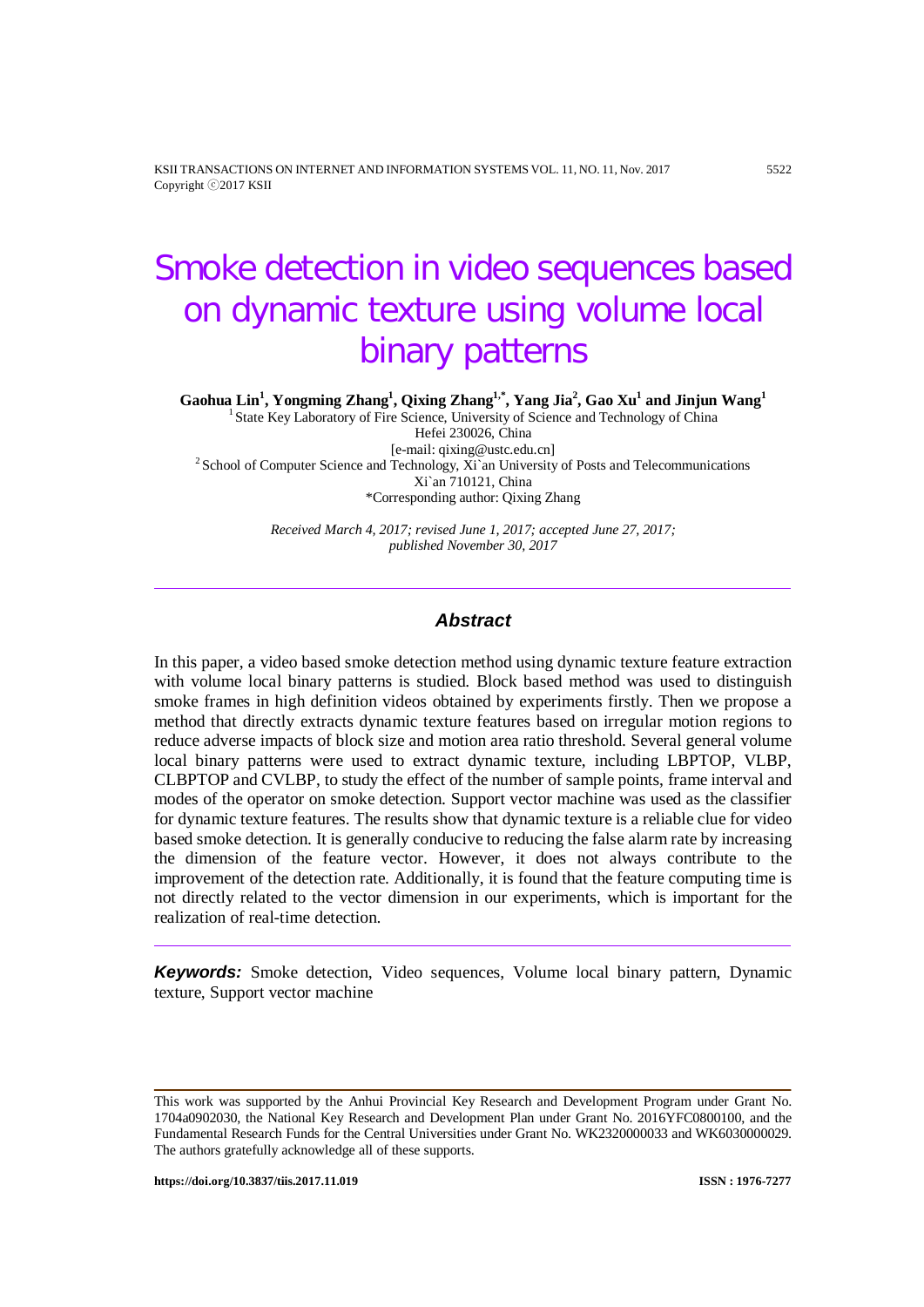KSII TRANSACTIONS ON INTERNET AND INFORMATION SYSTEMS VOL. 11, NO. 11, Nov. 2017 5522 Copyright ⓒ2017 KSII

# Smoke detection in video sequences based on dynamic texture using volume local binary patterns

 $G$ aohua  $Lin<sup>1</sup>$ , Yongming Zhang<sup>1</sup>, Qixing Zhang<sup>1,\*</sup>, Yang Jia<sup>2</sup>, Gao Xu<sup>1</sup> and Jinjun Wang<sup>1</sup>

<sup>1</sup> State Key Laboratory of Fire Science, University of Science and Technology of China Hefei 230026, China<br>[e-mail: qixing@ustc.edu.cn]  $2$ School of Computer Science and Technology, Xi`an University of Posts and Telecommunications Xi`an 710121, China \*Corresponding author: Qixing Zhang

> *Received March 4, 2017; revised June 1, 2017; accepted June 27, 2017; published November 30, 2017*

## *Abstract*

In this paper, a video based smoke detection method using dynamic texture feature extraction with volume local binary patterns is studied. Block based method was used to distinguish smoke frames in high definition videos obtained by experiments firstly. Then we propose a method that directly extracts dynamic texture features based on irregular motion regions to reduce adverse impacts of block size and motion area ratio threshold. Several general volume local binary patterns were used to extract dynamic texture, including LBPTOP, VLBP, CLBPTOP and CVLBP, to study the effect of the number of sample points, frame interval and modes of the operator on smoke detection. Support vector machine was used as the classifier for dynamic texture features. The results show that dynamic texture is a reliable clue for video based smoke detection. It is generally conducive to reducing the false alarm rate by increasing the dimension of the feature vector. However, it does not always contribute to the improvement of the detection rate. Additionally, it is found that the feature computing time is not directly related to the vector dimension in our experiments, which is important for the realization of real-time detection.

*Keywords:* Smoke detection, Video sequences, Volume local binary pattern, Dynamic texture, Support vector machine

This work was supported by the Anhui Provincial Key Research and Development Program under Grant No. 1704a0902030, the National Key Research and Development Plan under Grant No. 2016YFC0800100, and the Fundamental Research Funds for the Central Universities under Grant No. WK2320000033 and WK6030000029. The authors gratefully acknowledge all of these supports.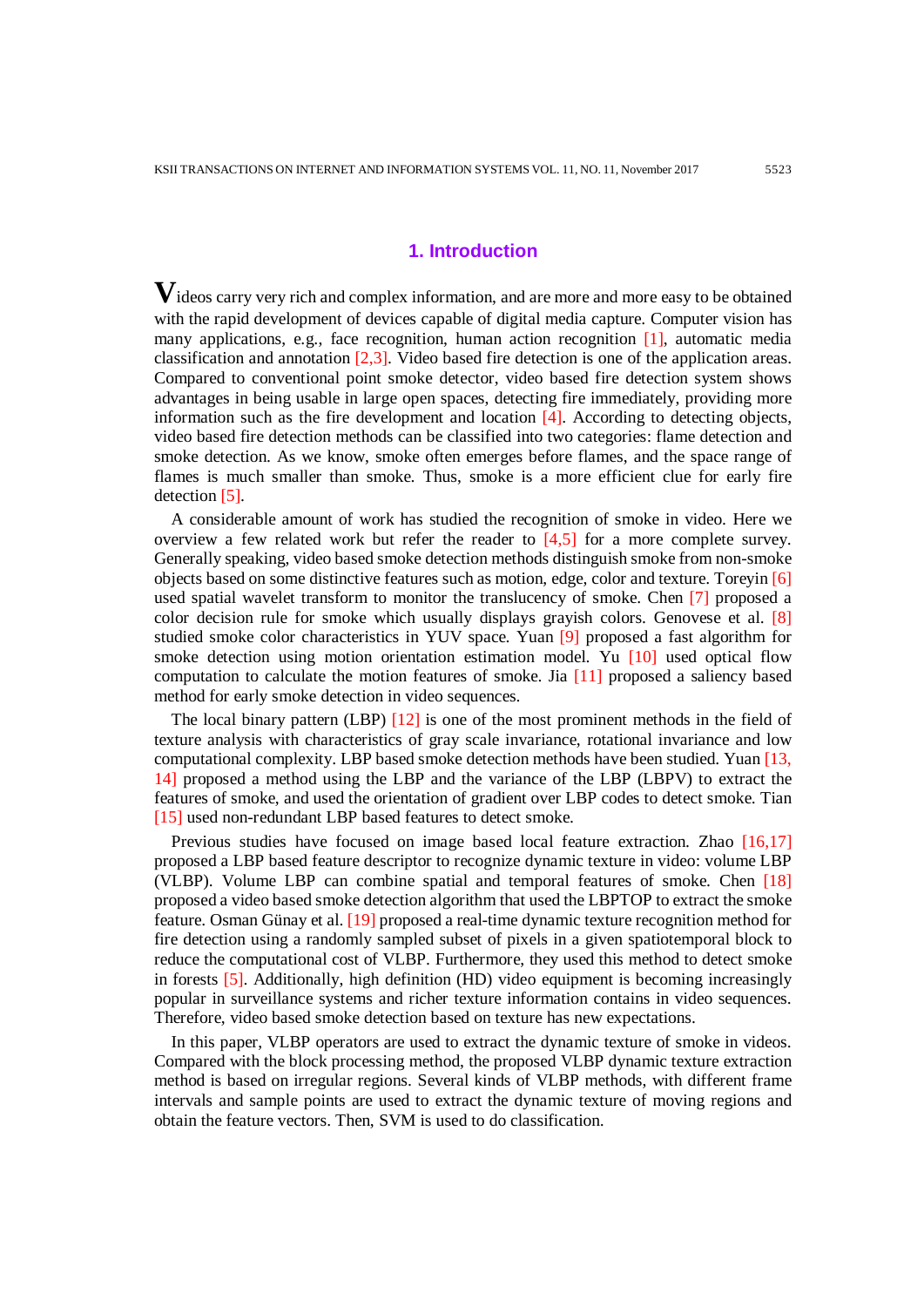# **1. Introduction**

**V**ideos carry very rich and complex information, and are more and more easy to be obtained with the rapid development of devices capable of digital media capture. Computer vision has many applications, e.g., face recognition, human action recognition  $[1]$ , automatic media classification and annotation [2,3]. Video based fire detection is one of the application areas. Compared to conventional point smoke detector, video based fire detection system shows advantages in being usable in large open spaces, detecting fire immediately, providing more information such as the fire development and location [4]. According to detecting objects, video based fire detection methods can be classified into two categories: flame detection and smoke detection. As we know, smoke often emerges before flames, and the space range of flames is much smaller than smoke. Thus, smoke is a more efficient clue for early fire detection [5].

A considerable amount of work has studied the recognition of smoke in video. Here we overview a few related work but refer the reader to [4,5] for a more complete survey. Generally speaking, video based smoke detection methods distinguish smoke from non-smoke objects based on some distinctive features such as motion, edge, color and texture. Toreyin [6] used spatial wavelet transform to monitor the translucency of smoke. Chen [7] proposed a color decision rule for smoke which usually displays grayish colors. Genovese et al. [8] studied smoke color characteristics in YUV space. Yuan [9] proposed a fast algorithm for smoke detection using motion orientation estimation model. Yu [10] used optical flow computation to calculate the motion features of smoke. Jia [11] proposed a saliency based method for early smoke detection in video sequences.

The local binary pattern (LBP) [12] is one of the most prominent methods in the field of texture analysis with characteristics of gray scale invariance, rotational invariance and low computational complexity. LBP based smoke detection methods have been studied. Yuan [13, 14] proposed a method using the LBP and the variance of the LBP (LBPV) to extract the features of smoke, and used the orientation of gradient over LBP codes to detect smoke. Tian [15] used non-redundant LBP based features to detect smoke.

Previous studies have focused on image based local feature extraction. Zhao [16,17] proposed a LBP based feature descriptor to recognize dynamic texture in video: volume LBP (VLBP). Volume LBP can combine spatial and temporal features of smoke. Chen [18] proposed a video based smoke detection algorithm that used the LBPTOP to extract the smoke feature. Osman Günay et al. [19] proposed a real-time dynamic texture recognition method for fire detection using a randomly sampled subset of pixels in a given spatiotemporal block to reduce the computational cost of VLBP. Furthermore, they used this method to detect smoke in forests [5]. Additionally, high definition (HD) video equipment is becoming increasingly popular in surveillance systems and richer texture information contains in video sequences. Therefore, video based smoke detection based on texture has new expectations.

In this paper, VLBP operators are used to extract the dynamic texture of smoke in videos. Compared with the block processing method, the proposed VLBP dynamic texture extraction method is based on irregular regions. Several kinds of VLBP methods, with different frame intervals and sample points are used to extract the dynamic texture of moving regions and obtain the feature vectors. Then, SVM is used to do classification.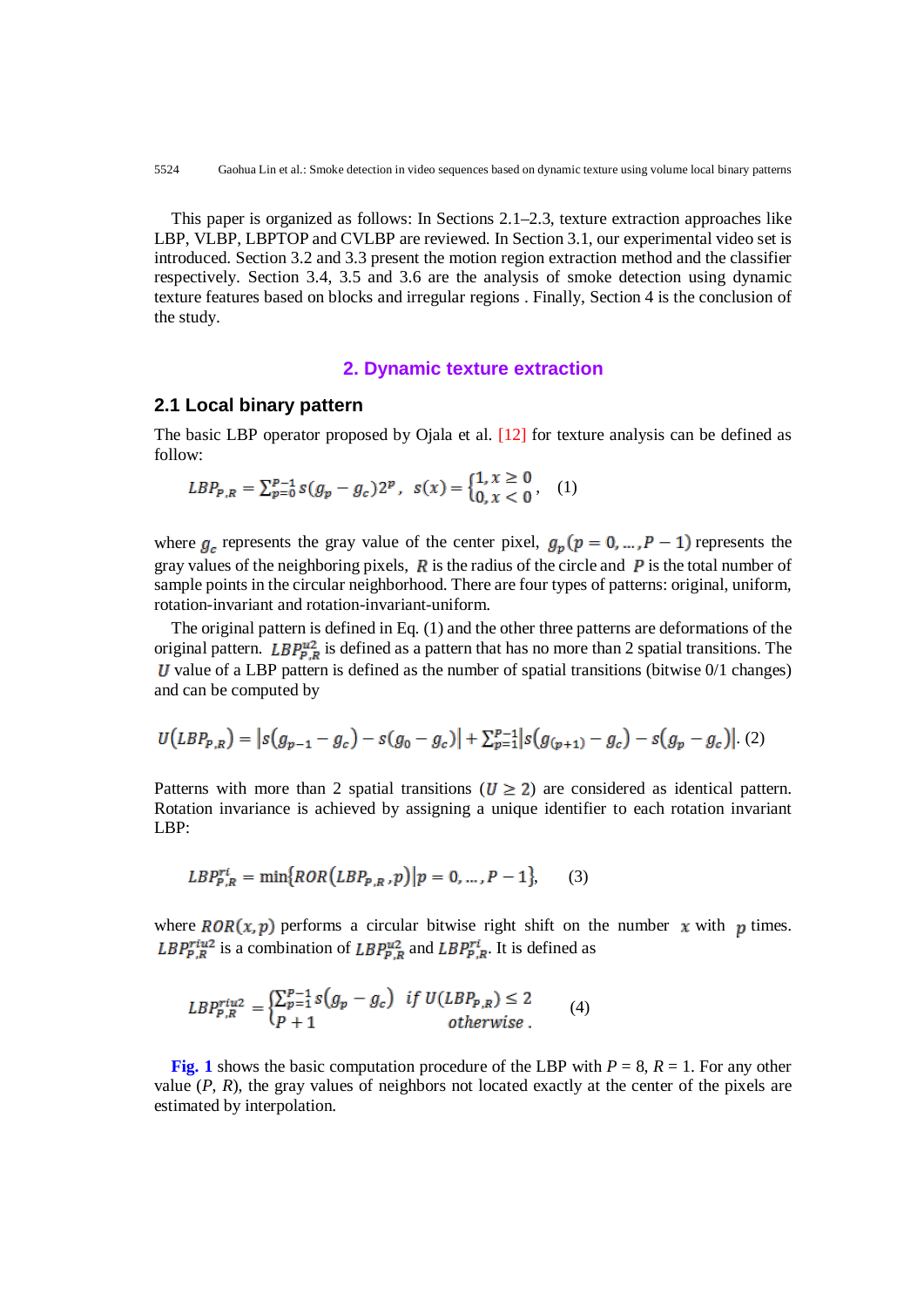This paper is organized as follows: In Sections 2.1–2.3, texture extraction approaches like LBP, VLBP, LBPTOP and CVLBP are reviewed. In Section 3.1, our experimental video set is introduced. Section 3.2 and 3.3 present the motion region extraction method and the classifier respectively. Section 3.4, 3.5 and 3.6 are the analysis of smoke detection using dynamic texture features based on blocks and irregular regions . Finally, Section 4 is the conclusion of the study.

## **2. Dynamic texture extraction**

## **2.1 Local binary pattern**

The basic LBP operator proposed by Ojala et al. [12] for texture analysis can be defined as follow:

$$
LBP_{P,R} = \sum_{p=0}^{P-1} s(g_p - g_c) 2^p, \quad s(x) = \begin{cases} 1, x \ge 0 \\ 0, x < 0 \end{cases}, \quad (1)
$$

where  $g_e$  represents the gray value of the center pixel,  $g_p(p = 0, ..., p - 1)$  represents the gray values of the neighboring pixels,  $\vec{R}$  is the radius of the circle and  $\vec{P}$  is the total number of sample points in the circular neighborhood. There are four types of patterns: original, uniform, rotation-invariant and rotation-invariant-uniform.

The original pattern is defined in Eq. (1) and the other three patterns are deformations of the original pattern. LBP $_{P,R}^{u2}$  is defined as a pattern that has no more than 2 spatial transitions. The  $U$  value of a LBP pattern is defined as the number of spatial transitions (bitwise  $0/1$  changes) and can be computed by

$$
U(LBP_{P,R}) = |s(g_{p-1} - g_c) - s(g_0 - g_c)| + \sum_{p=1}^{p-1} |s(g_{(p+1)} - g_c) - s(g_p - g_c)|. (2)
$$

Patterns with more than 2 spatial transitions ( $U \ge 2$ ) are considered as identical pattern. Rotation invariance is achieved by assigning a unique identifier to each rotation invariant LBP:

$$
LBP_{P,R}^{ri} = \min\{ROR(LBP_{P,R}, p) | p = 0, ..., P-1\},\qquad(3)
$$

where  $ROR(x, p)$  performs a circular bitwise right shift on the number x with p times.  $LBP_{P,R}^{ritu2}$  is a combination of  $LBP_{P,R}^{u2}$  and  $LBP_{P,R}^{ri}$ . It is defined as

$$
LBP_{P,R}^{riu2} = \begin{cases} \sum_{p=1}^{P-1} s(g_p - g_c) & \text{if } U(LBP_{P,R}) \le 2\\ P+1 & \text{otherwise} \end{cases} \tag{4}
$$

**Fig. 1** shows the basic computation procedure of the LBP with  $P = 8$ ,  $R = 1$ . For any other value  $(P, R)$ , the gray values of neighbors not located exactly at the center of the pixels are estimated by interpolation.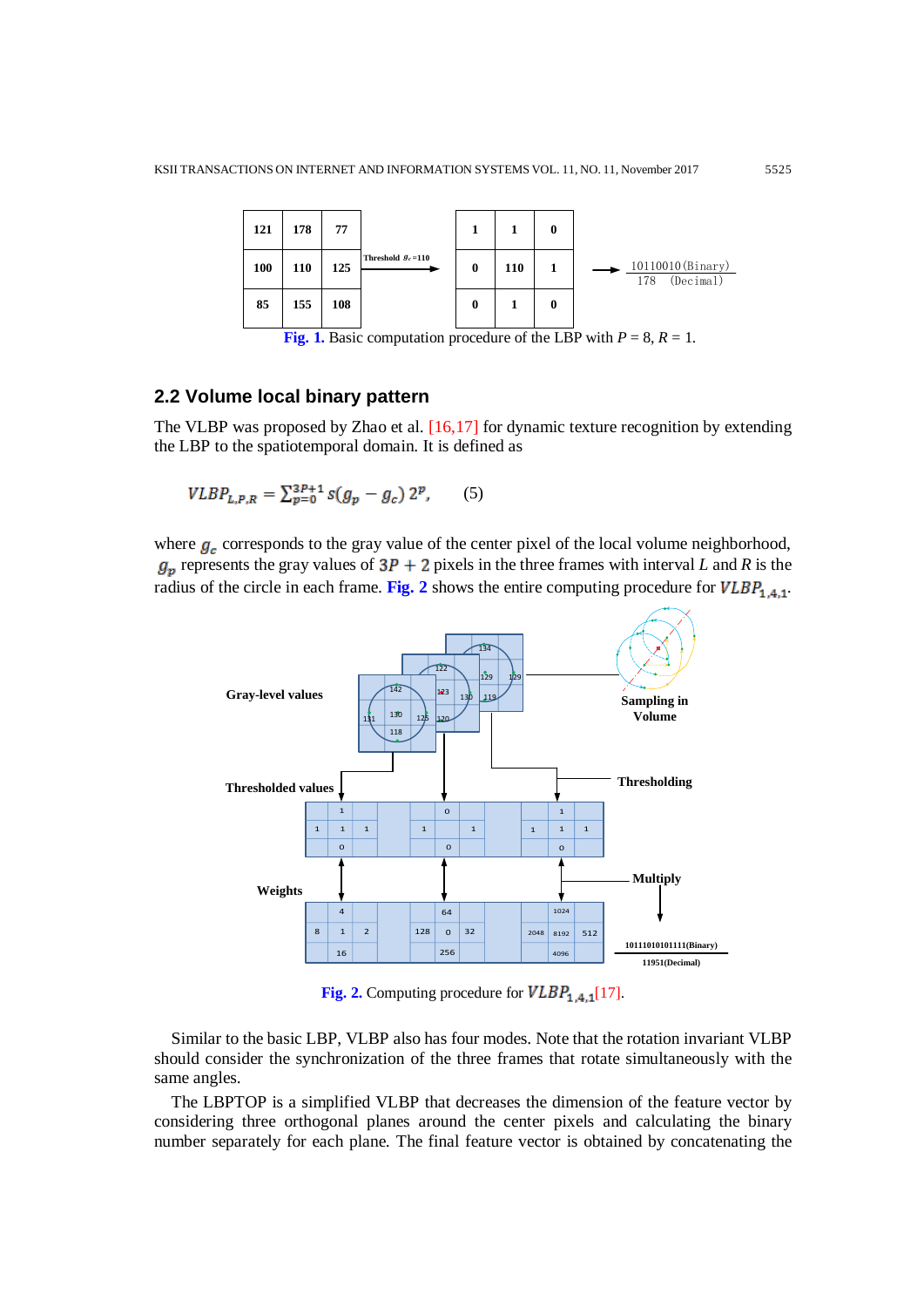

**Fig. 1.** Basic computation procedure of the LBP with  $P = 8$ ,  $R = 1$ .

## **2.2 Volume local binary pattern**

The VLBP was proposed by Zhao et al. [16,17] for dynamic texture recognition by extending the LBP to the spatiotemporal domain. It is defined as

$$
VLBP_{L,P,R} = \sum_{p=0}^{3P+1} s(g_p - g_c) 2^p, \qquad (5)
$$

where  $g_c$  corresponds to the gray value of the center pixel of the local volume neighborhood,  $g_p$  represents the gray values of  $3P + 2$  pixels in the three frames with interval *L* and *R* is the radius of the circle in each frame. **Fig. 2** shows the entire computing procedure for  $VLBP_{1.4.1}$ .



Fig. 2. Computing procedure for  $VLBP_{1,4,1}[17]$ .

Similar to the basic LBP, VLBP also has four modes. Note that the rotation invariant VLBP should consider the synchronization of the three frames that rotate simultaneously with the same angles.

The LBPTOP is a simplified VLBP that decreases the dimension of the feature vector by considering three orthogonal planes around the center pixels and calculating the binary number separately for each plane. The final feature vector is obtained by concatenating the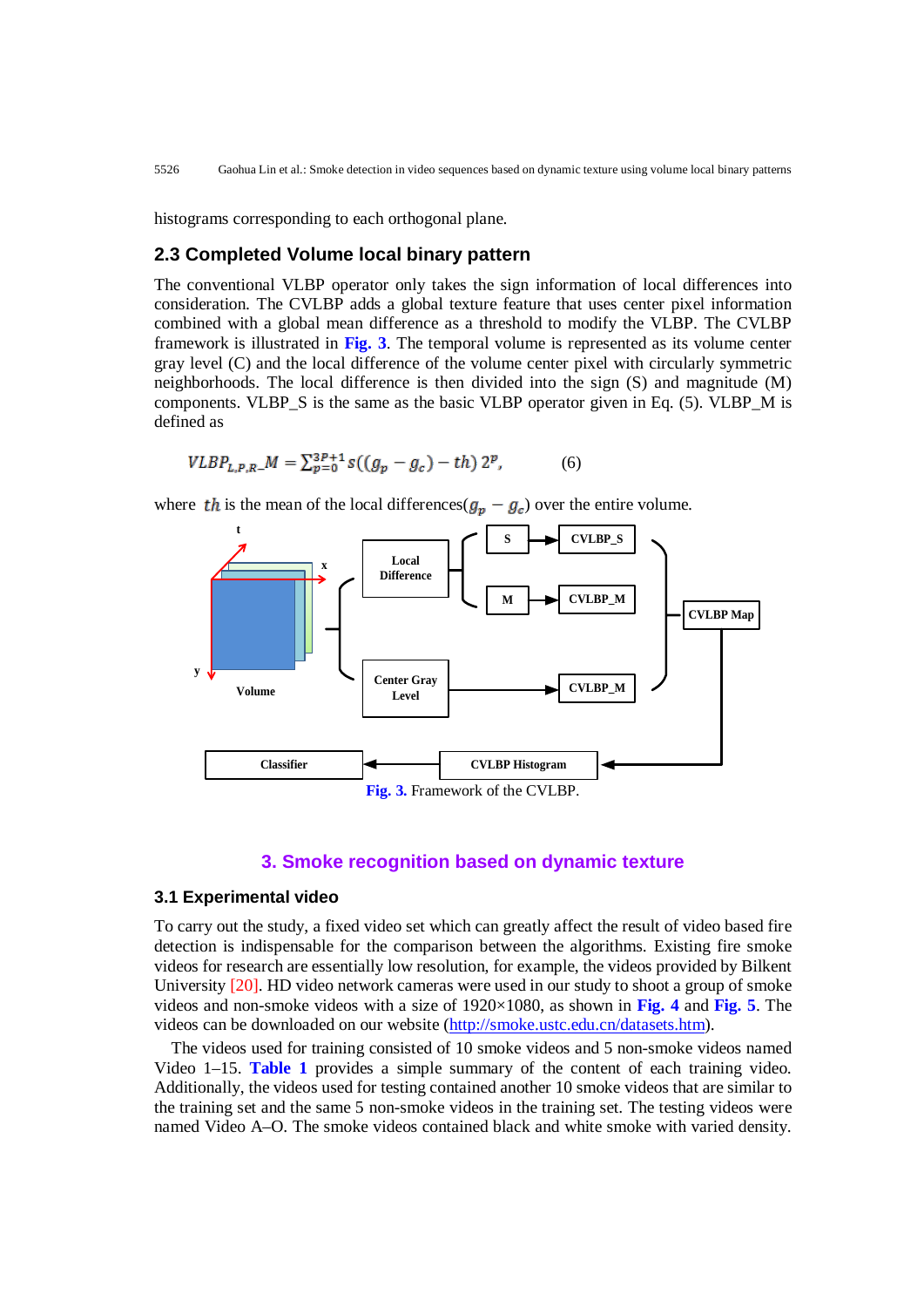histograms corresponding to each orthogonal plane.

## **2.3 Completed Volume local binary pattern**

The conventional VLBP operator only takes the sign information of local differences into consideration. The CVLBP adds a global texture feature that uses center pixel information combined with a global mean difference as a threshold to modify the VLBP. The CVLBP framework is illustrated in **Fig. 3**. The temporal volume is represented as its volume center gray level (C) and the local difference of the volume center pixel with circularly symmetric neighborhoods. The local difference is then divided into the sign (S) and magnitude (M) components. VLBP\_S is the same as the basic VLBP operator given in Eq. (5). VLBP\_M is defined as

$$
VLBP_{L,P,R}M = \sum_{p=0}^{3P+1} s((g_p - g_c) - th) 2^p, \tag{6}
$$

where the is the mean of the local differences( $g_p - g_c$ ) over the entire volume.



#### **3. Smoke recognition based on dynamic texture**

#### **3.1 Experimental video**

To carry out the study, a fixed video set which can greatly affect the result of video based fire detection is indispensable for the comparison between the algorithms. Existing fire smoke videos for research are essentially low resolution, for example, the videos provided by Bilkent University [20]. HD video network cameras were used in our study to shoot a group of smoke videos and non-smoke videos with a size of 1920×1080, as shown in **Fig. 4** and **Fig. 5**. The videos can be downloaded on our website [\(http://smoke.ustc.edu.cn/datasets.htm\)](http://smoke.ustc.edu.cn/datasets.htm).

The videos used for training consisted of 10 smoke videos and 5 non-smoke videos named Video 1–15. **Table 1** provides a simple summary of the content of each training video. Additionally, the videos used for testing contained another 10 smoke videos that are similar to the training set and the same 5 non-smoke videos in the training set. The testing videos were named Video A–O. The smoke videos contained black and white smoke with varied density.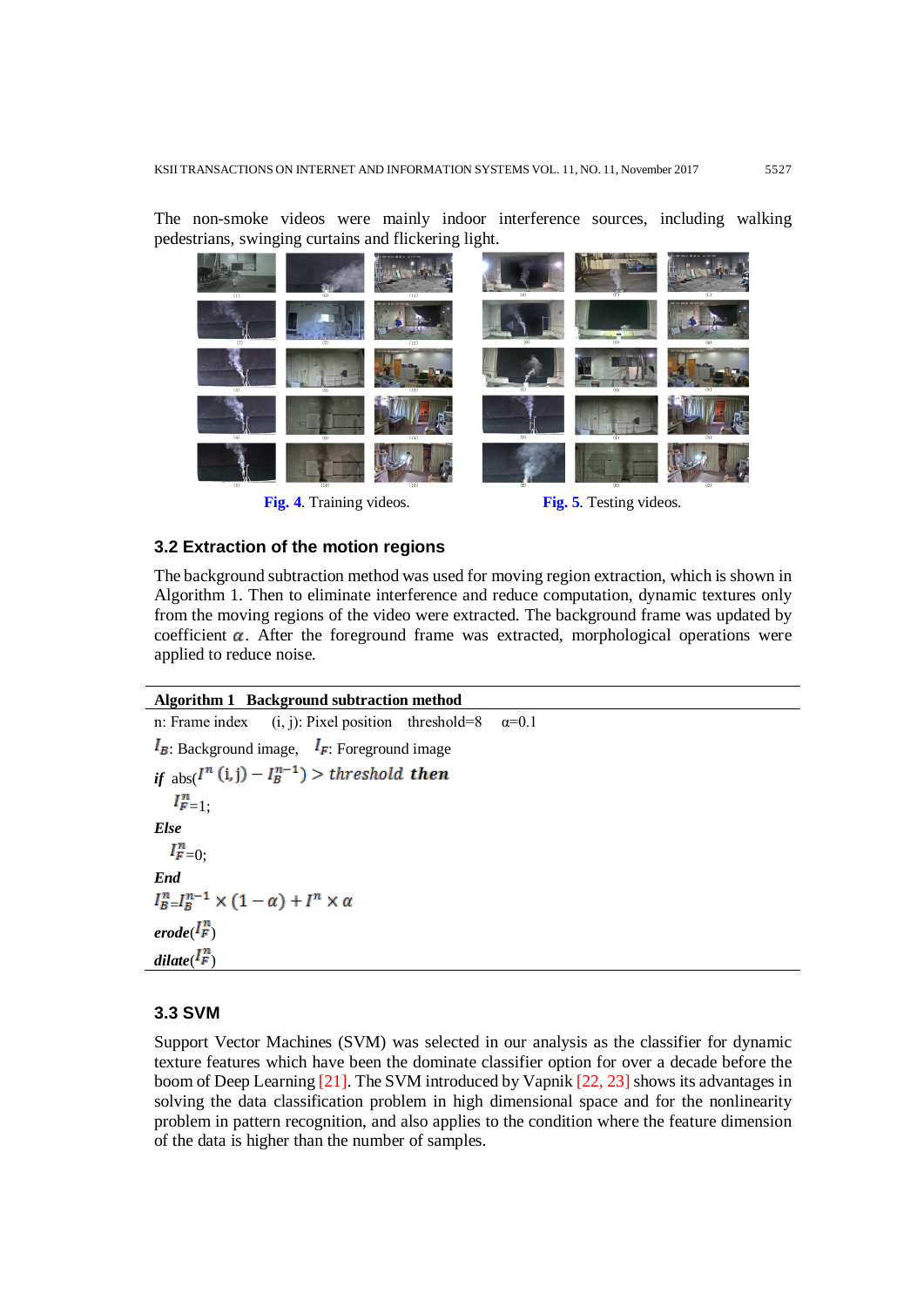The non-smoke videos were mainly indoor interference sources, including walking pedestrians, swinging curtains and flickering light.



Fig. 4. Training videos. Fig. 5. Testing videos.

#### **3.2 Extraction of the motion regions**

The background subtraction method was used for moving region extraction, which is shown in Algorithm 1. Then to eliminate interference and reduce computation, dynamic textures only from the moving regions of the video were extracted. The background frame was updated by coefficient  $\alpha$ . After the foreground frame was extracted, morphological operations were applied to reduce noise.

#### **Algorithm 1 Background subtraction method**

```
n: Frame index (i, j): Pixel position threshold=8 \alpha=0.1
I_{\mathbf{E}}: Background image, I_{\mathbf{F}}: Foreground image
if _{\text{abs}}(I^n(i,j) - I^{n-1}_B) > threshold then
    I_{F=1}^n:
Else
   I_{F=0}^nEnd
I_{B-}^{n}I_{B}^{n-1}\times(1-\alpha)+I^{n}\times\alpha\text{erode}(\mathbf{I}_{\mathbf{F}}^n)dilate<sup>\binom{\prod_{i=1}^{n}}{F}</sup>
```
## **3.3 SVM**

Support Vector Machines (SVM) was selected in our analysis as the classifier for dynamic texture features which have been the dominate classifier option for over a decade before the boom of Deep Learning [21]. The SVM introduced by Vapnik [22, 23] shows its advantages in solving the data classification problem in high dimensional space and for the nonlinearity problem in pattern recognition, and also applies to the condition where the feature dimension of the data is higher than the number of samples.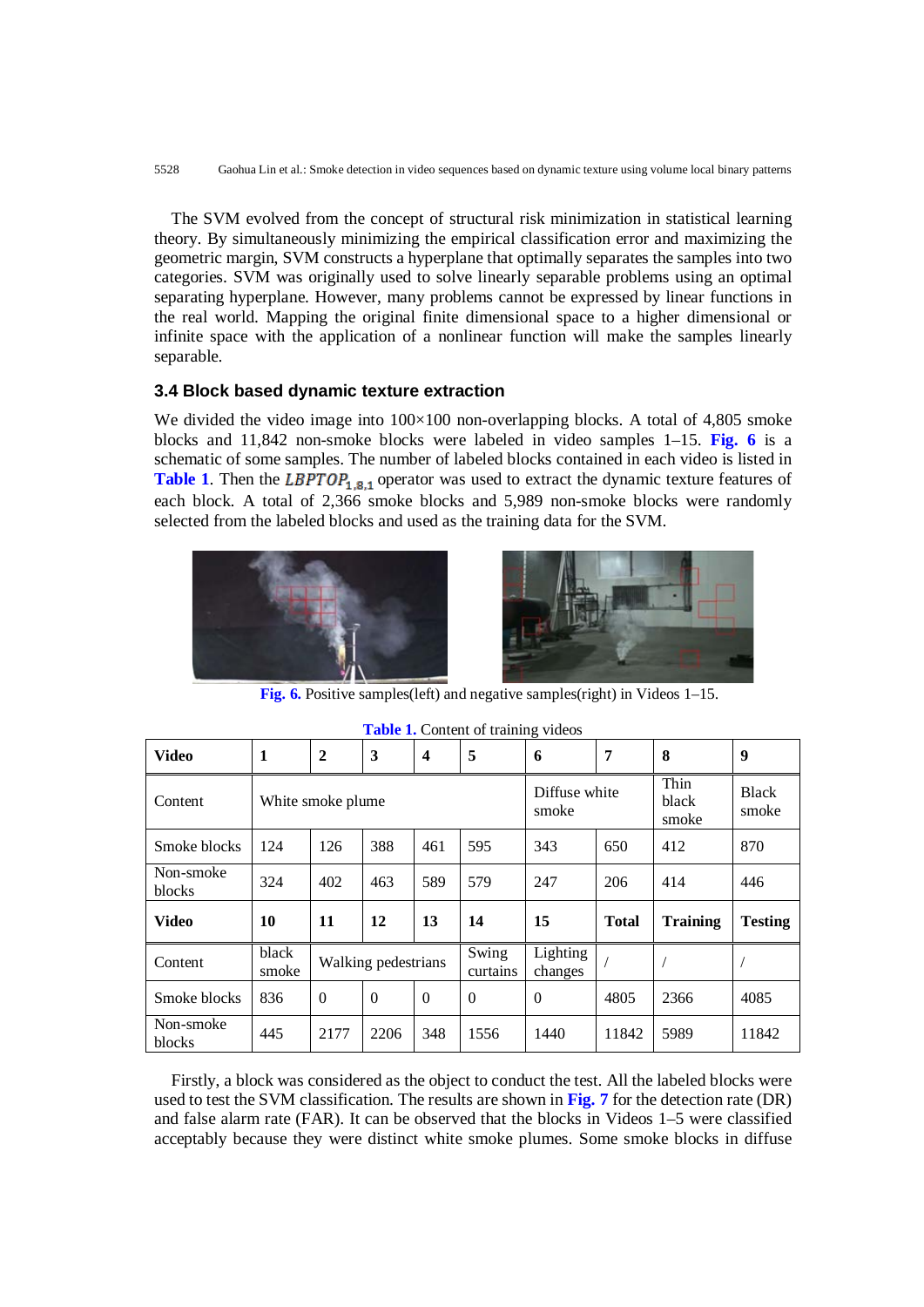The SVM evolved from the concept of structural risk minimization in statistical learning theory. By simultaneously minimizing the empirical classification error and maximizing the geometric margin, SVM constructs a hyperplane that optimally separates the samples into two categories. SVM was originally used to solve linearly separable problems using an optimal separating hyperplane. However, many problems cannot be expressed by linear functions in the real world. Mapping the original finite dimensional space to a higher dimensional or infinite space with the application of a nonlinear function will make the samples linearly separable.

### **3.4 Block based dynamic texture extraction**

We divided the video image into  $100\times100$  non-overlapping blocks. A total of 4,805 smoke blocks and 11,842 non-smoke blocks were labeled in video samples 1–15. **Fig. 6** is a schematic of some samples. The number of labeled blocks contained in each video is listed in **Table 1**. Then the LBPTOP<sub>1.8.1</sub> operator was used to extract the dynamic texture features of each block. A total of 2,366 smoke blocks and 5,989 non-smoke blocks were randomly selected from the labeled blocks and used as the training data for the SVM.





**Fig. 6.** Positive samples(left) and negative samples(right) in Videos 1–15.

| Video               | 1              | $\boldsymbol{2}$  | 3                   | $\boldsymbol{4}$ | 5                 | 6                      | 7            | 8                      | 9                     |
|---------------------|----------------|-------------------|---------------------|------------------|-------------------|------------------------|--------------|------------------------|-----------------------|
| Content             |                | White smoke plume |                     |                  |                   | Diffuse white<br>smoke |              | Thin<br>black<br>smoke | <b>Black</b><br>smoke |
| Smoke blocks        | 124            | 126               | 388                 | 461              | 595               | 343                    | 650          | 412                    | 870                   |
| Non-smoke<br>blocks | 324            | 402               | 463                 | 589              | 579               | 247                    | 206          | 414                    | 446                   |
| Video               | 10             | 11                | 12                  | 13               | 14                | 15                     | <b>Total</b> | <b>Training</b>        | <b>Testing</b>        |
| Content             | black<br>smoke |                   | Walking pedestrians |                  | Swing<br>curtains | Lighting<br>changes    |              |                        |                       |
| Smoke blocks        | 836            | $\overline{0}$    | $\boldsymbol{0}$    | $\Omega$         | $\Omega$          | $\Omega$               | 4805         | 2366                   | 4085                  |
| Non-smoke<br>blocks | 445            | 2177              | 2206                | 348              | 1556              | 1440                   | 11842        | 5989                   | 11842                 |

**Table 1.** Content of training videos

Firstly, a block was considered as the object to conduct the test. All the labeled blocks were used to test the SVM classification. The results are shown in **Fig. 7** for the detection rate (DR) and false alarm rate (FAR). It can be observed that the blocks in Videos 1–5 were classified acceptably because they were distinct white smoke plumes. Some smoke blocks in diffuse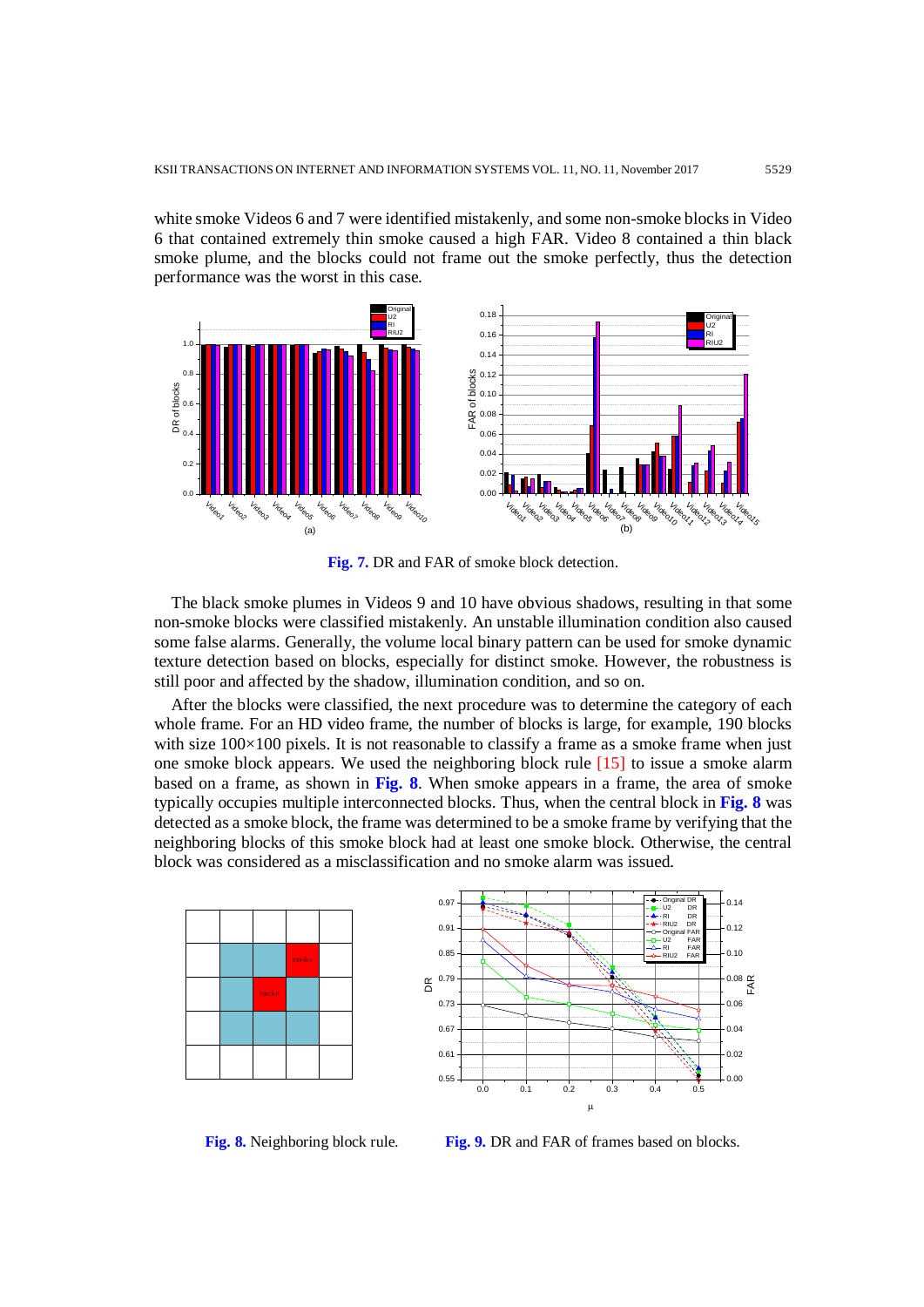white smoke Videos 6 and 7 were identified mistakenly, and some non-smoke blocks in Video 6 that contained extremely thin smoke caused a high FAR. Video 8 contained a thin black smoke plume, and the blocks could not frame out the smoke perfectly, thus the detection performance was the worst in this case.



**Fig. 7.** DR and FAR of smoke block detection.

The black smoke plumes in Videos 9 and 10 have obvious shadows, resulting in that some non-smoke blocks were classified mistakenly. An unstable illumination condition also caused some false alarms. Generally, the volume local binary pattern can be used for smoke dynamic texture detection based on blocks, especially for distinct smoke. However, the robustness is still poor and affected by the shadow, illumination condition, and so on.

After the blocks were classified, the next procedure was to determine the category of each whole frame. For an HD video frame, the number of blocks is large, for example, 190 blocks with size  $100\times100$  pixels. It is not reasonable to classify a frame as a smoke frame when just one smoke block appears. We used the neighboring block rule  $[15]$  to issue a smoke alarm based on a frame, as shown in **Fig. 8**. When smoke appears in a frame, the area of smoke typically occupies multiple interconnected blocks. Thus, when the central block in **Fig. 8** was detected as a smoke block, the frame was determined to be a smoke frame by verifying that the neighboring blocks of this smoke block had at least one smoke block. Otherwise, the central block was considered as a misclassification and no smoke alarm was issued.





**Fig. 8.** Neighboring block rule. **Fig. 9.** DR and FAR of frames based on blocks.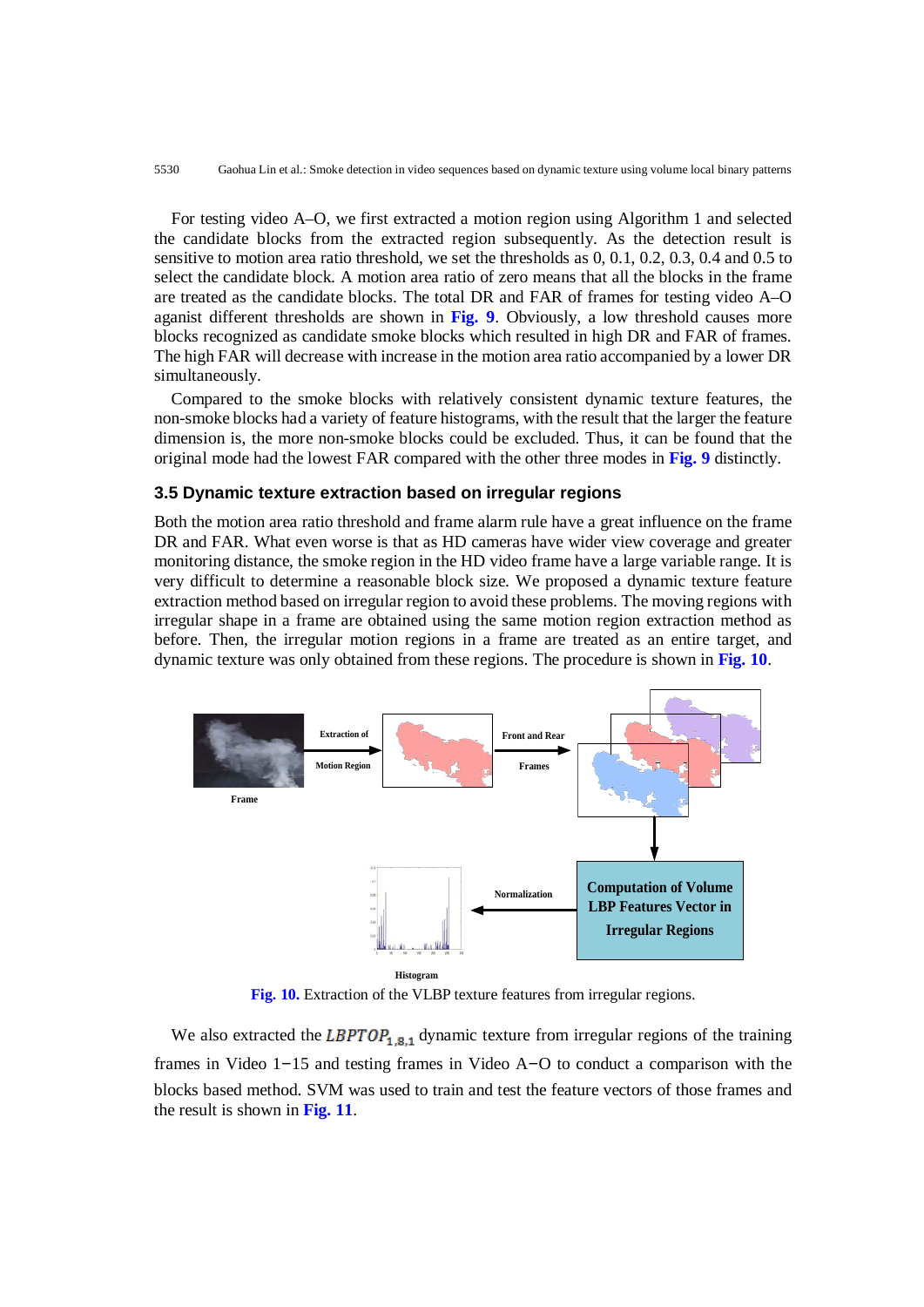5530 Gaohua Lin et al.: Smoke detection in video sequences based on dynamic texture using volume local binary patterns

For testing video A–O, we first extracted a motion region using Algorithm 1 and selected the candidate blocks from the extracted region subsequently. As the detection result is sensitive to motion area ratio threshold, we set the thresholds as 0, 0.1, 0.2, 0.3, 0.4 and 0.5 to select the candidate block. A motion area ratio of zero means that all the blocks in the frame are treated as the candidate blocks. The total DR and FAR of frames for testing video A–O aganist different thresholds are shown in **Fig. 9**. Obviously, a low threshold causes more blocks recognized as candidate smoke blocks which resulted in high DR and FAR of frames. The high FAR will decrease with increase in the motion area ratio accompanied by a lower DR simultaneously.

Compared to the smoke blocks with relatively consistent dynamic texture features, the non-smoke blocks had a variety of feature histograms, with the result that the larger the feature dimension is, the more non-smoke blocks could be excluded. Thus, it can be found that the original mode had the lowest FAR compared with the other three modes in **Fig. 9** distinctly.

## **3.5 Dynamic texture extraction based on irregular regions**

Both the motion area ratio threshold and frame alarm rule have a great influence on the frame DR and FAR. What even worse is that as HD cameras have wider view coverage and greater monitoring distance, the smoke region in the HD video frame have a large variable range. It is very difficult to determine a reasonable block size. We proposed a dynamic texture feature extraction method based on irregular region to avoid these problems. The moving regions with irregular shape in a frame are obtained using the same motion region extraction method as before. Then, the irregular motion regions in a frame are treated as an entire target, and dynamic texture was only obtained from these regions. The procedure is shown in **Fig. 10**.



**Fig. 10.** Extraction of the VLBP texture features from irregular regions.

We also extracted the LBPTOP<sub>1,8,1</sub> dynamic texture from irregular regions of the training frames in Video 1–15 and testing frames in Video A–O to conduct a comparison with the blocks based method. SVM was used to train and test the feature vectors of those frames and the result is shown in **Fig. 11**.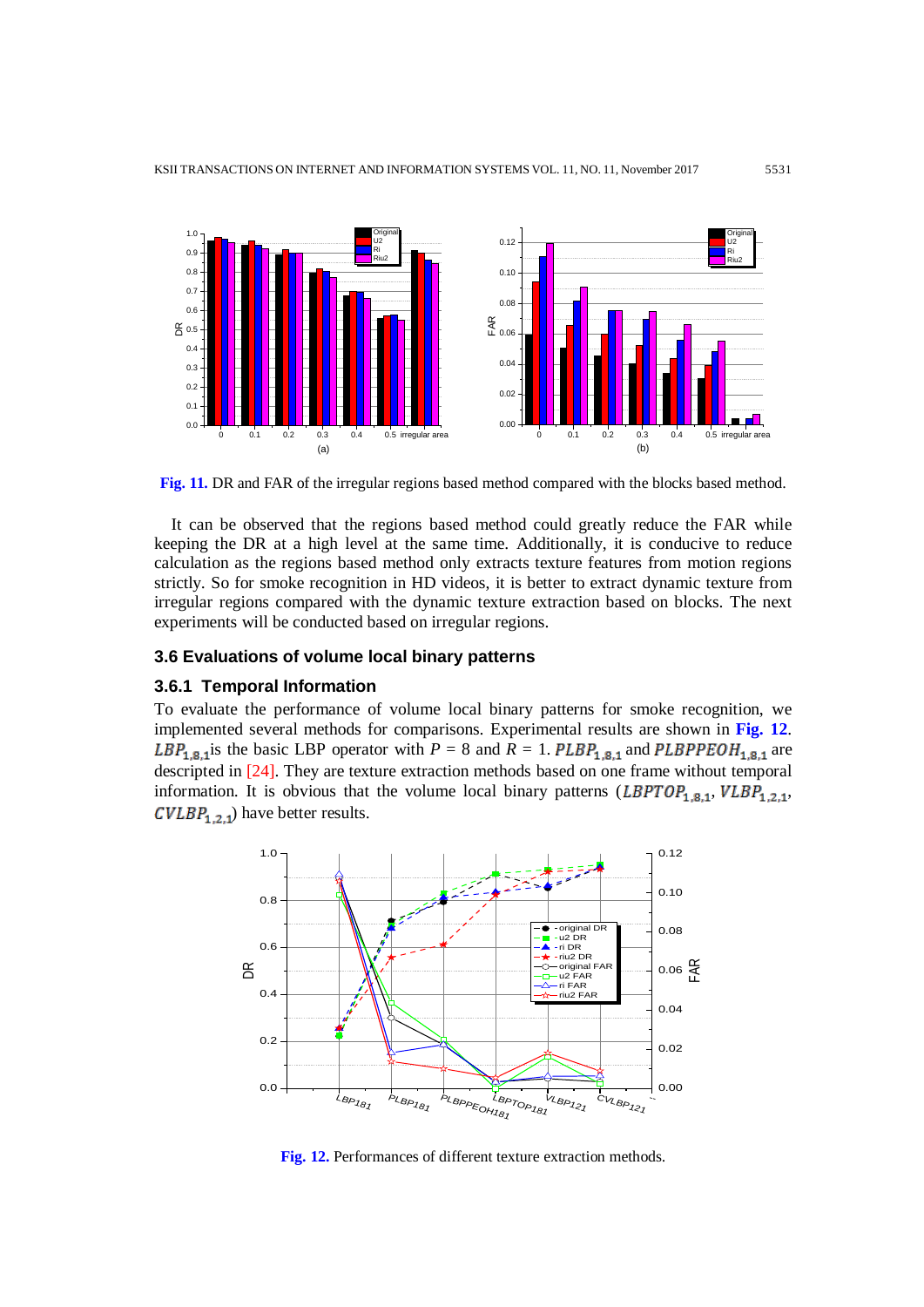

**Fig. 11.** DR and FAR of the irregular regions based method compared with the blocks based method.

It can be observed that the regions based method could greatly reduce the FAR while keeping the DR at a high level at the same time. Additionally, it is conducive to reduce calculation as the regions based method only extracts texture features from motion regions strictly. So for smoke recognition in HD videos, it is better to extract dynamic texture from irregular regions compared with the dynamic texture extraction based on blocks. The next experiments will be conducted based on irregular regions.

# **3.6 Evaluations of volume local binary patterns**

#### **3.6.1 Temporal Information**

To evaluate the performance of volume local binary patterns for smoke recognition, we implemented several methods for comparisons. Experimental results are shown in **Fig. 12**. LBP<sub>1,8,1</sub> is the basic LBP operator with  $P = 8$  and  $R = 1$ . PLBP<sub>1,8,1</sub> and PLBPPEOH<sub>1,8,1</sub> are descripted in [24]. They are texture extraction methods based on one frame without temporal information. It is obvious that the volume local binary patterns (LBPTOP<sub>1,8,1</sub>, VLBP<sub>1,2,1</sub>,  $\mathcal{CVLBP}_{1,2,1}$ ) have better results.



**Fig. 12.** Performances of different texture extraction methods.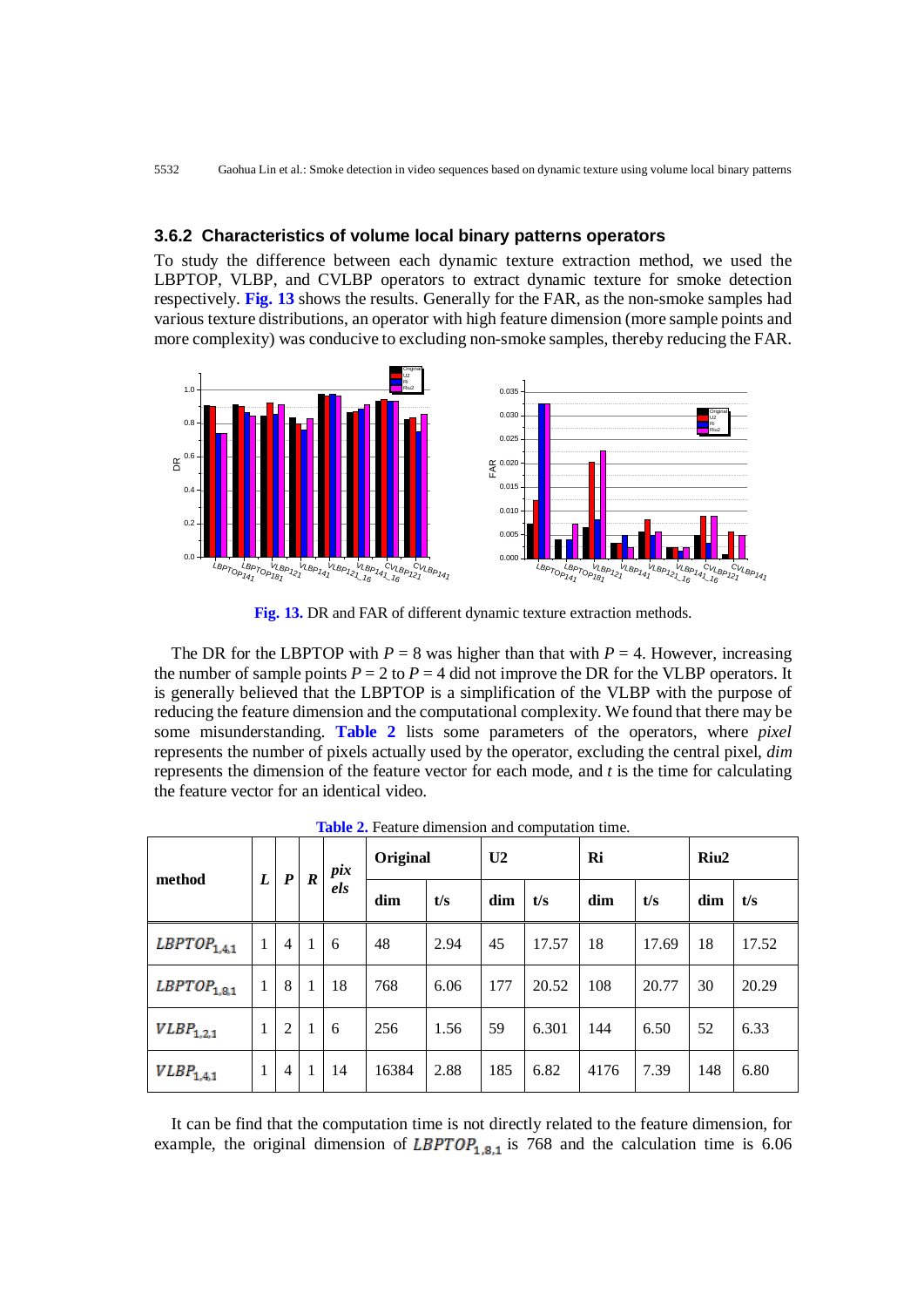## **3.6.2 Characteristics of volume local binary patterns operators**

To study the difference between each dynamic texture extraction method, we used the LBPTOP, VLBP, and CVLBP operators to extract dynamic texture for smoke detection respectively. **Fig. 13** shows the results. Generally for the FAR, as the non-smoke samples had various texture distributions, an operator with high feature dimension (more sample points and more complexity) was conducive to excluding non-smoke samples, thereby reducing the FAR.



**Fig. 13.** DR and FAR of different dynamic texture extraction methods.

The DR for the LBPTOP with  $P = 8$  was higher than that with  $P = 4$ . However, increasing the number of sample points  $P = 2$  to  $P = 4$  did not improve the DR for the VLBP operators. It is generally believed that the LBPTOP is a simplification of the VLBP with the purpose of reducing the feature dimension and the computational complexity. We found that there may be some misunderstanding. **Table 2** lists some parameters of the operators, where *pixel* represents the number of pixels actually used by the operator, excluding the central pixel, *dim* represents the dimension of the feature vector for each mode, and *t* is the time for calculating the feature vector for an identical video.

| method                  | $\boldsymbol{L}$ | $\boldsymbol{P}$ | $\boldsymbol{R}$ | pix<br>els | Original |      | U <sub>2</sub> |       | Ri   |       | Riu <sub>2</sub> |       |
|-------------------------|------------------|------------------|------------------|------------|----------|------|----------------|-------|------|-------|------------------|-------|
|                         |                  |                  |                  |            | dim      | t/s  | dim            | t/s   | dim  | t/s   | dim              | t/s   |
| $\emph{LBPTOP}_{1,4,1}$ | 1                | $\overline{4}$   | $\overline{1}$   | 6          | 48       | 2.94 | 45             | 17.57 | 18   | 17.69 | 18               | 17.52 |
| $\emph{LBPTOP}_{1,3,1}$ | 1                | 8                | 1                | 18         | 768      | 6.06 | 177            | 20.52 | 108  | 20.77 | 30               | 20.29 |
| $VLBP_{1,2,1}$          | 1                | 2                | $\overline{1}$   | 6          | 256      | 1.56 | 59             | 6.301 | 144  | 6.50  | 52               | 6.33  |
| $VLBP_{1,4,1}$          | 1                | $\overline{4}$   | $\mathbf{1}$     | 14         | 16384    | 2.88 | 185            | 6.82  | 4176 | 7.39  | 148              | 6.80  |

**Table 2.** Feature dimension and computation time.

It can be find that the computation time is not directly related to the feature dimension, for example, the original dimension of LBPTOP<sub>1.8.1</sub> is 768 and the calculation time is 6.06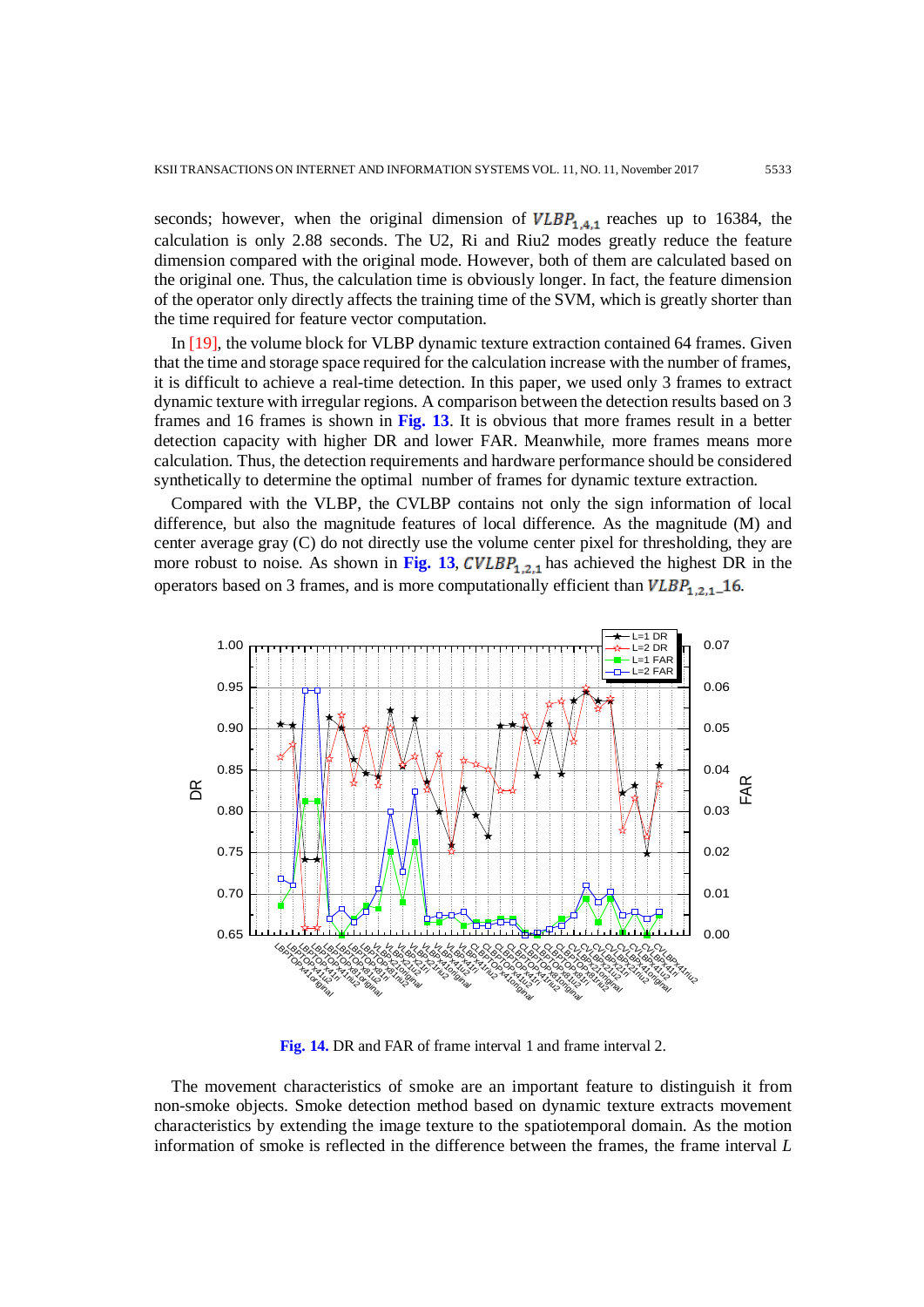seconds; however, when the original dimension of  $VLBP_{1,4,1}$  reaches up to 16384, the calculation is only 2.88 seconds. The U2, Ri and Riu2 modes greatly reduce the feature dimension compared with the original mode. However, both of them are calculated based on the original one. Thus, the calculation time is obviously longer. In fact, the feature dimension of the operator only directly affects the training time of the SVM, which is greatly shorter than the time required for feature vector computation.

In [19], the volume block for VLBP dynamic texture extraction contained 64 frames. Given that the time and storage space required for the calculation increase with the number of frames, it is difficult to achieve a real-time detection. In this paper, we used only 3 frames to extract dynamic texture with irregular regions. A comparison between the detection results based on 3 frames and 16 frames is shown in **Fig. 13**. It is obvious that more frames result in a better detection capacity with higher DR and lower FAR. Meanwhile, more frames means more calculation. Thus, the detection requirements and hardware performance should be considered synthetically to determine the optimal number of frames for dynamic texture extraction.

Compared with the VLBP, the CVLBP contains not only the sign information of local difference, but also the magnitude features of local difference. As the magnitude (M) and center average gray (C) do not directly use the volume center pixel for thresholding, they are more robust to noise. As shown in Fig. 13,  $CVLBP_{1,2,1}$  has achieved the highest DR in the operators based on 3 frames, and is more computationally efficient than  $VLBP_{1,2,1}$  16.



**Fig. 14.** DR and FAR of frame interval 1 and frame interval 2.

The movement characteristics of smoke are an important feature to distinguish it from non-smoke objects. Smoke detection method based on dynamic texture extracts movement characteristics by extending the image texture to the spatiotemporal domain. As the motion information of smoke is reflected in the difference between the frames, the frame interval *L*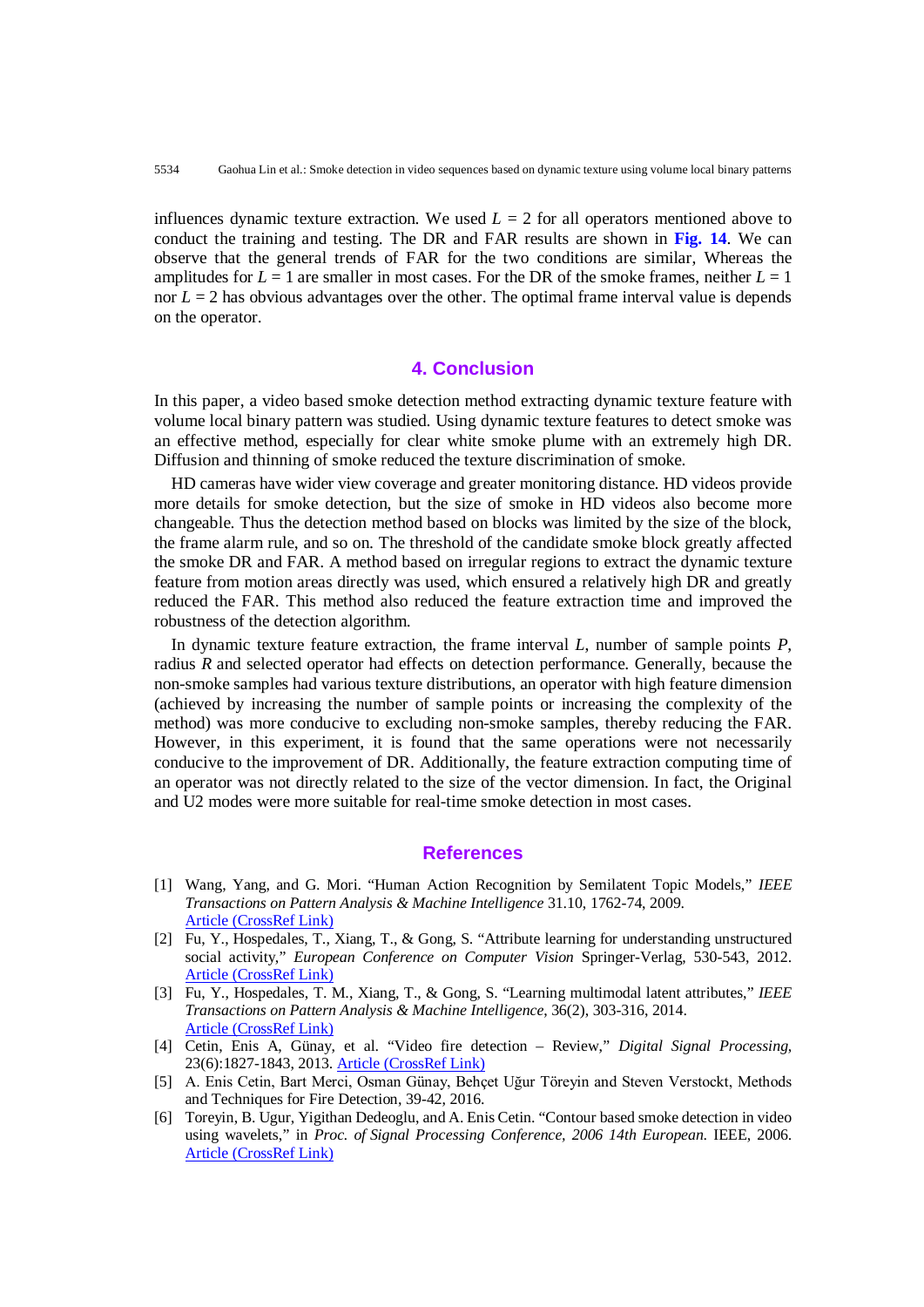influences dynamic texture extraction. We used  $L = 2$  for all operators mentioned above to conduct the training and testing. The DR and FAR results are shown in **Fig. 14**. We can observe that the general trends of FAR for the two conditions are similar, Whereas the amplitudes for  $L = 1$  are smaller in most cases. For the DR of the smoke frames, neither  $L = 1$ nor  $L = 2$  has obvious advantages over the other. The optimal frame interval value is depends on the operator.

# **4. Conclusion**

In this paper, a video based smoke detection method extracting dynamic texture feature with volume local binary pattern was studied. Using dynamic texture features to detect smoke was an effective method, especially for clear white smoke plume with an extremely high DR. Diffusion and thinning of smoke reduced the texture discrimination of smoke.

HD cameras have wider view coverage and greater monitoring distance. HD videos provide more details for smoke detection, but the size of smoke in HD videos also become more changeable. Thus the detection method based on blocks was limited by the size of the block, the frame alarm rule, and so on. The threshold of the candidate smoke block greatly affected the smoke DR and FAR. A method based on irregular regions to extract the dynamic texture feature from motion areas directly was used, which ensured a relatively high DR and greatly reduced the FAR. This method also reduced the feature extraction time and improved the robustness of the detection algorithm.

In dynamic texture feature extraction, the frame interval *L*, number of sample points *P*, radius *R* and selected operator had effects on detection performance. Generally, because the non-smoke samples had various texture distributions, an operator with high feature dimension (achieved by increasing the number of sample points or increasing the complexity of the method) was more conducive to excluding non-smoke samples, thereby reducing the FAR. However, in this experiment, it is found that the same operations were not necessarily conducive to the improvement of DR. Additionally, the feature extraction computing time of an operator was not directly related to the size of the vector dimension. In fact, the Original and U2 modes were more suitable for real-time smoke detection in most cases.

#### **References**

- [1] Wang, Yang, and G. Mori. "Human Action Recognition by Semilatent Topic Models," *IEEE Transactions on Pattern Analysis & Machine Intelligence* 31.10, 1762-74, 2009. [Article \(CrossRef Link\)](http://dx.doi.org/10.1109/TPAMI.2009.43)
- [2] Fu, Y., Hospedales, T., Xiang, T., & Gong, S. "Attribute learning for understanding unstructured social activity," *European Conference on Computer Vision* Springer-Verlag, 530-543, 2012. [Article \(CrossRef Link\)](http://dx.doi.org/10.1007/978-3-642-33765-9_38)
- [3] Fu, Y., Hospedales, T. M., Xiang, T., & Gong, S. "Learning multimodal latent attributes," *IEEE Transactions on Pattern Analysis & Machine Intelligence*, 36(2), 303-316, 2014. [Article \(CrossRef Link\)](http://dx.doi.org/10.1109/TPAMI.2013.128)
- [4] Cetin, Enis A, Günay, et al. "Video fire detection Review," *Digital Signal Processing*, 23(6):1827-1843, 2013. [Article \(CrossRef Link\)](http://dx.doi.org/10.1016/j.dsp.2013.07.003)
- [5] A. Enis Cetin, Bart Merci, Osman Günay, Behçet Uğur Töreyin and Steven Verstockt, Methods and Techniques for Fire Detection, 39-42, 2016.
- [6] Toreyin, B. Ugur, Yigithan Dedeoglu, and A. Enis Cetin. "Contour based smoke detection in video using wavelets," in *Proc. of Signal Processing Conference, 2006 14th European*. IEEE, 2006. [Article \(CrossRef Link\)](http://dx.doi.org/10.5281/zenodo.52633)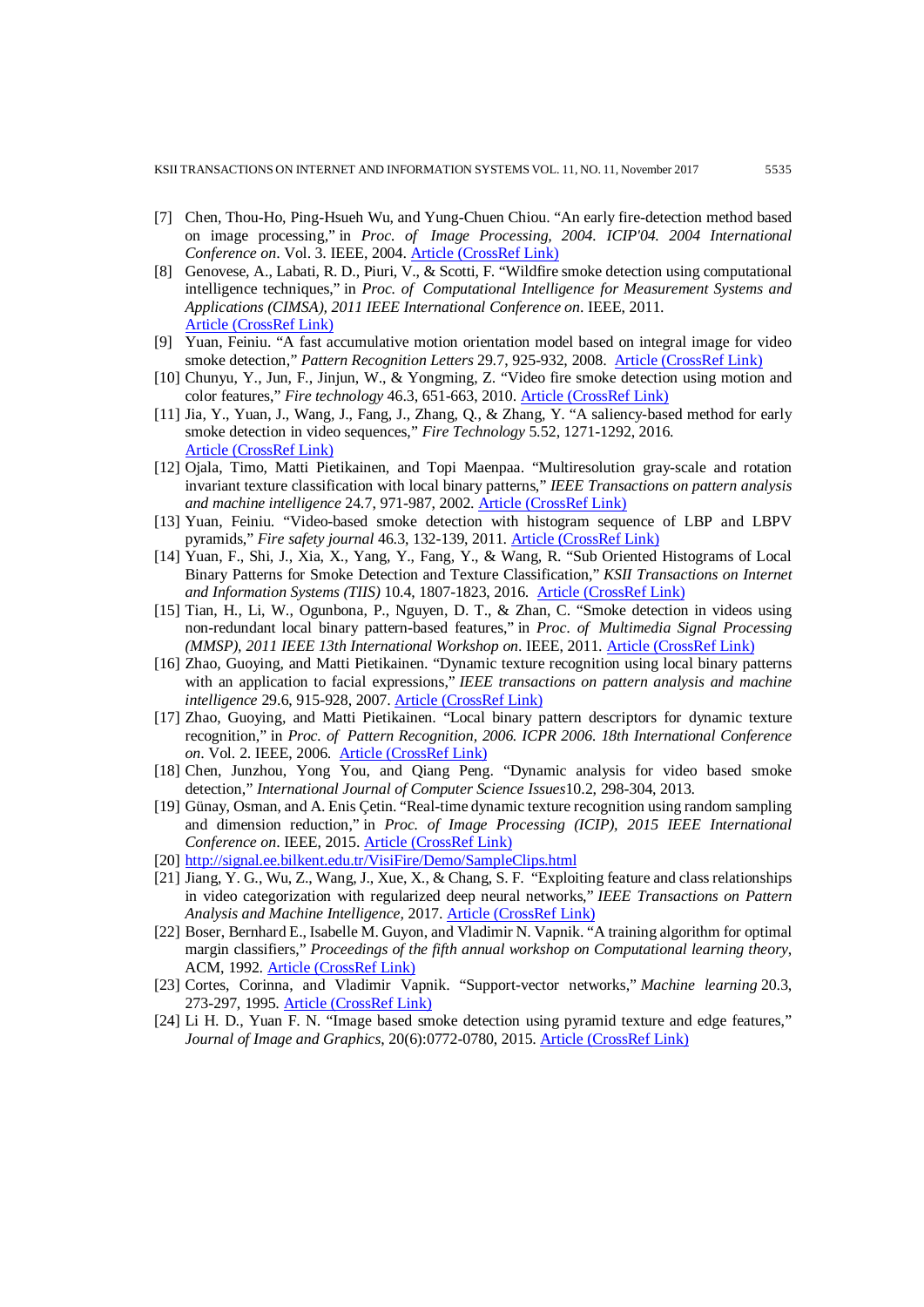- [7] Chen, Thou-Ho, Ping-Hsueh Wu, and Yung-Chuen Chiou. "An early fire-detection method based on image processing," in *Proc. of Image Processing, 2004. ICIP'04. 2004 International Conference on*. Vol. 3. IEEE, 2004. [Article \(CrossRef Link\)](http://dx.doi.org/10.1109/ICIP.2004.1421401)
- [8] Genovese, A., Labati, R. D., Piuri, V., & Scotti, F. "Wildfire smoke detection using computational intelligence techniques," in *Proc. of Computational Intelligence for Measurement Systems and Applications (CIMSA), 2011 IEEE International Conference on*. IEEE, 2011. [Article \(CrossRef Link\)](http://dx.doi.org/10.1109/CIMSA.2011.6059930)
- [9] Yuan, Feiniu. "A fast accumulative motion orientation model based on integral image for video smoke detection," *Pattern Recognition Letters* 29.7, 925-932, 2008. [Article \(CrossRef Link\)](http://dx.doi.org/10.1016/j.patrec.2008.01.013)
- [10] Chunyu, Y., Jun, F., Jinjun, W., & Yongming, Z. "Video fire smoke detection using motion and color features," *Fire technology* 46.3, 651-663, 2010[. Article \(CrossRef Link\)](http://dx.doi.org/10.1007/s10694-009-0110-z)
- [11] Jia, Y., Yuan, J., Wang, J., Fang, J., Zhang, Q., & Zhang, Y. "A saliency-based method for early smoke detection in video sequences," *Fire Technology* 5.52, 1271-1292, 2016. [Article \(CrossRef Link\)](http://dx.doi.org/10.1007/s10694-014-0453-y)
- [12] Ojala, Timo, Matti Pietikainen, and Topi Maenpaa. "Multiresolution gray-scale and rotation invariant texture classification with local binary patterns," *IEEE Transactions on pattern analysis and machine intelligence* 24.7, 971-987, 2002. [Article \(CrossRef Link\)](http://dx.doi.org/10.1109/TPAMI.2002.1017623)
- [13] Yuan, Feiniu. "Video-based smoke detection with histogram sequence of LBP and LBPV pyramids," *Fire safety journal* 46.3, 132-139, 2011. [Article \(CrossRef Link\)](http://dx.doi.org/10.1016/j.firesaf.2011.01.001)
- [14] Yuan, F., Shi, J., Xia, X., Yang, Y., Fang, Y., & Wang, R. "Sub Oriented Histograms of Local Binary Patterns for Smoke Detection and Texture Classification," *KSII Transactions on Internet and Information Systems (TIIS)* 10.4, 1807-1823, 2016. [Article \(CrossRef Link\)](http://dx.doi.org/10.3837/tiis.2016.04.019)
- [15] Tian, H., Li, W., Ogunbona, P., Nguyen, D. T., & Zhan, C. "Smoke detection in videos using non-redundant local binary pattern-based features," in *Proc. of Multimedia Signal Processing (MMSP), 2011 IEEE 13th International Workshop on*. IEEE, 2011[. Article \(CrossRef Link\)](http://dx.doi.org/10.1109/MMSP.2011.6093844)
- [16] Zhao, Guoying, and Matti Pietikainen. "Dynamic texture recognition using local binary patterns with an application to facial expressions," *IEEE transactions on pattern analysis and machine intelligence* 29.6, 915-928, 2007. [Article \(CrossRef Link\)](http://dx.doi.org/10.1109/TPAMI.2007.1110)
- [17] Zhao, Guoying, and Matti Pietikainen. "Local binary pattern descriptors for dynamic texture recognition," in *Proc. of Pattern Recognition, 2006. ICPR 2006. 18th International Conference on*. Vol. 2. IEEE, 2006. [Article \(CrossRef Link\)](http://dx.doi.org/10.1109/ICPR.2006.768)
- [18] Chen, Junzhou, Yong You, and Qiang Peng. "Dynamic analysis for video based smoke detection," *International Journal of Computer Science Issues*10.2, 298-304, 2013.
- [19] Günay, Osman, and A. Enis Çetin. "Real-time dynamic texture recognition using random sampling and dimension reduction," in *Proc. of Image Processing (ICIP), 2015 IEEE International Conference on*. IEEE, 2015. [Article \(CrossRef Link\)](http://dx.doi.org/10.1109/ICIP.2015.7351371)
- [20] <http://signal.ee.bilkent.edu.tr/VisiFire/Demo/SampleClips.html>
- [21] Jiang, Y. G., Wu, Z., Wang, J., Xue, X., & Chang, S. F. "Exploiting feature and class relationships in video categorization with regularized deep neural networks," *IEEE Transactions on Pattern Analysis and Machine Intelligence,* 2017. [Article \(CrossRef Link\)](http://dx.doi.org/10.1109/TPAMI.2017.2670560)
- [22] Boser, Bernhard E., Isabelle M. Guyon, and Vladimir N. Vapnik. "A training algorithm for optimal margin classifiers," *Proceedings of the fifth annual workshop on Computational learning theory*, ACM, 1992. [Article \(CrossRef Link\)](http://dx.doi.org/10.1145/130385.130401)
- [23] Cortes, Corinna, and Vladimir Vapnik. "Support-vector networks," *Machine learning* 20.3, 273-297, 1995. [Article \(CrossRef Link\)](http://dx.doi.org/10.1007/BF00994018)
- [24] Li H. D., Yuan F. N. "Image based smoke detection using pyramid texture and edge features," *Journal of Image and Graphics*, 20(6):0772-0780, 2015. [Article \(CrossRef Link\)](http://dx.doi.org/10.11834/jig.20150606)